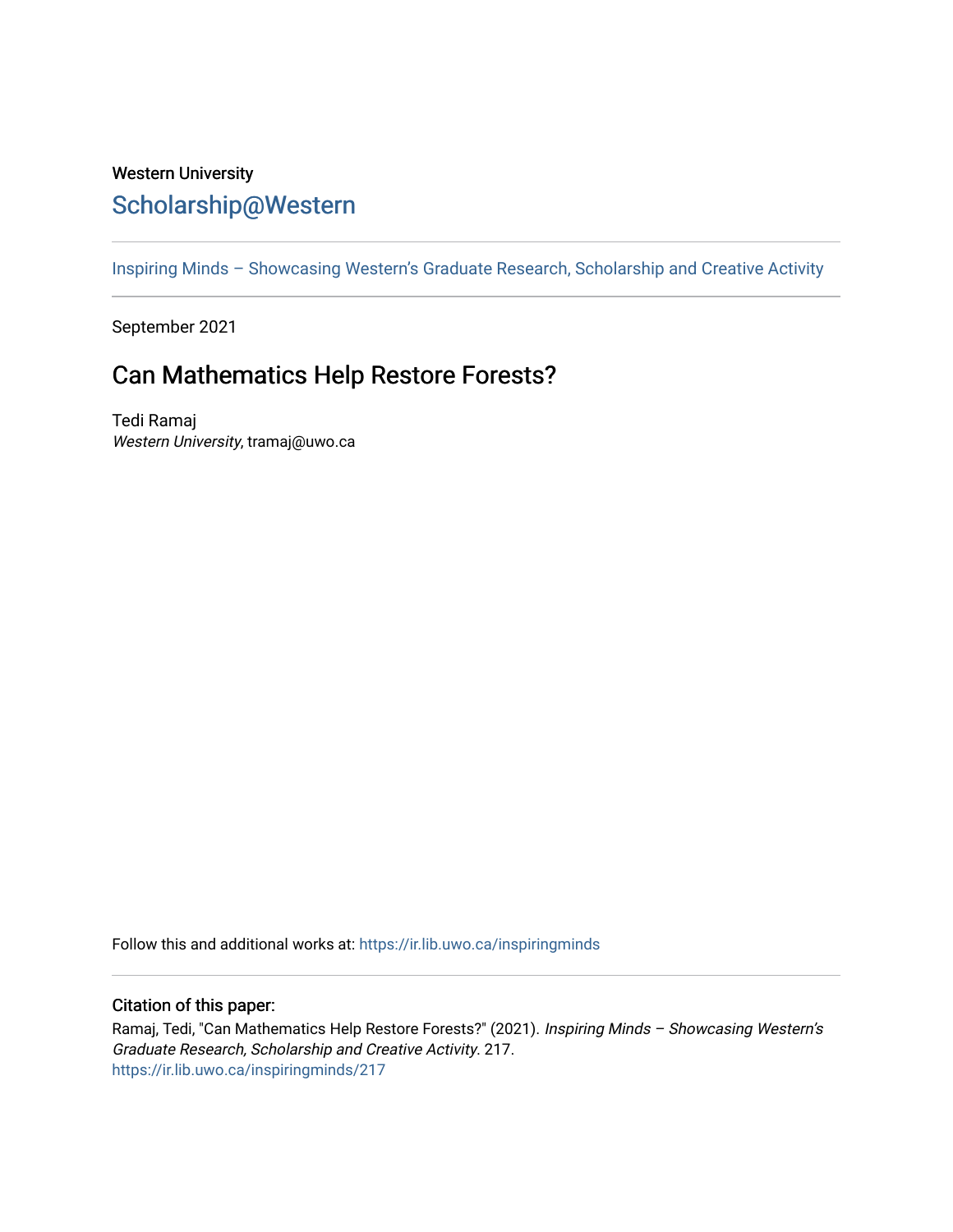## Western University [Scholarship@Western](https://ir.lib.uwo.ca/)

[Inspiring Minds – Showcasing Western's Graduate Research, Scholarship and Creative Activity](https://ir.lib.uwo.ca/inspiringminds) 

September 2021

## Can Mathematics Help Restore Forests?

Tedi Ramaj Western University, tramaj@uwo.ca

Follow this and additional works at: [https://ir.lib.uwo.ca/inspiringminds](https://ir.lib.uwo.ca/inspiringminds?utm_source=ir.lib.uwo.ca%2Finspiringminds%2F217&utm_medium=PDF&utm_campaign=PDFCoverPages) 

## Citation of this paper:

Ramaj, Tedi, "Can Mathematics Help Restore Forests?" (2021). Inspiring Minds - Showcasing Western's Graduate Research, Scholarship and Creative Activity. 217. [https://ir.lib.uwo.ca/inspiringminds/217](https://ir.lib.uwo.ca/inspiringminds/217?utm_source=ir.lib.uwo.ca%2Finspiringminds%2F217&utm_medium=PDF&utm_campaign=PDFCoverPages)